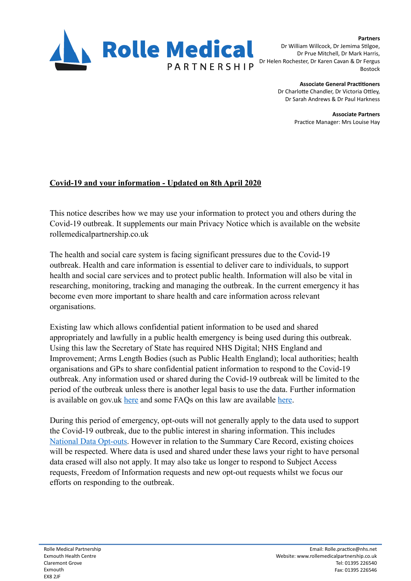

**Partners**  Dr William Willcock, Dr Jemima Stilgoe, Dr Prue Mitchell, Dr Mark Harris, Dr Helen Rochester, Dr Karen Cavan & Dr Fergus Bostock

> **Associate General Practitioners** Dr Charlotte Chandler, Dr Victoria Ottley Dr Sarah Andrews & Dr Paul Harkness

> > **Associate Partners**  Practice Manager: Mrs Louise Hay

## **Covid-19 and your information - Updated on 8th April 2020**

This notice describes how we may use your information to protect you and others during the Covid-19 outbreak. It supplements our main Privacy Notice which is available on the website rollemedicalpartnership.co.uk

The health and social care system is facing significant pressures due to the Covid-19 outbreak. Health and care information is essential to deliver care to individuals, to support health and social care services and to protect public health. Information will also be vital in researching, monitoring, tracking and managing the outbreak. In the current emergency it has become even more important to share health and care information across relevant organisations.

Existing law which allows confidential patient information to be used and shared appropriately and lawfully in a public health emergency is being used during this outbreak. Using this law the Secretary of State has required NHS Digital; NHS England and Improvement; Arms Length Bodies (such as Public Health England); local authorities; health organisations and GPs to share confidential patient information to respond to the Covid-19 outbreak. Any information used or shared during the Covid-19 outbreak will be limited to the period of the outbreak unless there is another legal basis to use the data. Further information is available on gov.uk [here](https://www.gov.uk/government/publications/coronavirus-covid-19-notification-of-data-controllers-to-share-information) and some FAQs on this law are available here.

During this period of emergency, opt-outs will not generally apply to the data used to support the Covid-19 outbreak, due to the public interest in sharing information. This includes [National Data Opt-outs.](https://www.nhs.uk/your-nhs-data-matters/) However in relation to the Summary Care Record, existing choices will be respected. Where data is used and shared under these laws your right to have personal data erased will also not apply. It may also take us longer to respond to Subject Access requests, Freedom of Information requests and new opt-out requests whilst we focus our efforts on responding to the outbreak.